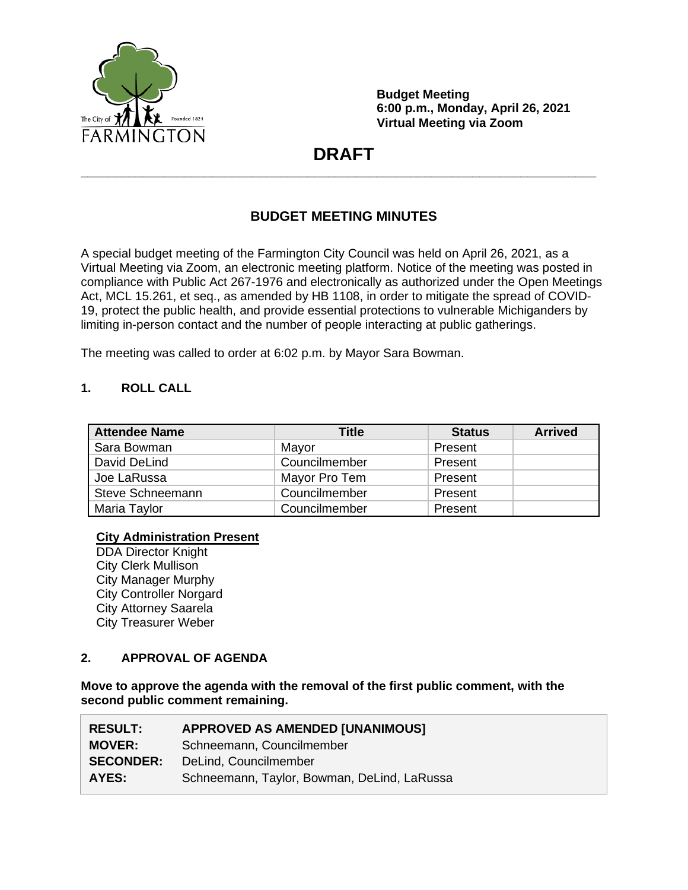

**Budget Meeting 6:00 p.m., Monday, April 26, 2021 Virtual Meeting via Zoom**

# **DRAFT \_\_\_\_\_\_\_\_\_\_\_\_\_\_\_\_\_\_\_\_\_\_\_\_\_\_\_\_\_\_\_\_\_\_\_\_\_\_\_\_\_\_\_\_\_\_\_\_\_\_\_\_\_\_\_\_\_\_\_\_\_\_\_\_\_\_\_\_\_\_\_\_\_\_\_**

## **BUDGET MEETING MINUTES**

A special budget meeting of the Farmington City Council was held on April 26, 2021, as a Virtual Meeting via Zoom, an electronic meeting platform. Notice of the meeting was posted in compliance with Public Act 267-1976 and electronically as authorized under the Open Meetings Act, MCL 15.261, et seq., as amended by HB 1108, in order to mitigate the spread of COVID-19, protect the public health, and provide essential protections to vulnerable Michiganders by limiting in-person contact and the number of people interacting at public gatherings.

The meeting was called to order at 6:02 p.m. by Mayor Sara Bowman.

## **1. ROLL CALL**

| <b>Attendee Name</b> | Title         | <b>Status</b> | <b>Arrived</b> |
|----------------------|---------------|---------------|----------------|
| Sara Bowman          | Mayor         | Present       |                |
| David DeLind         | Councilmember | Present       |                |
| Joe LaRussa          | Mayor Pro Tem | Present       |                |
| Steve Schneemann     | Councilmember | Present       |                |
| Maria Taylor         | Councilmember | Present       |                |

#### **City Administration Present**

DDA Director Knight City Clerk Mullison City Manager Murphy City Controller Norgard City Attorney Saarela City Treasurer Weber

## **2. APPROVAL OF AGENDA**

**Move to approve the agenda with the removal of the first public comment, with the second public comment remaining.**

| <b>RESULT:</b>   | <b>APPROVED AS AMENDED [UNANIMOUS]</b>      |
|------------------|---------------------------------------------|
| <b>MOVER:</b>    | Schneemann, Councilmember                   |
| <b>SECONDER:</b> | DeLind, Councilmember                       |
| AYES:            | Schneemann, Taylor, Bowman, DeLind, LaRussa |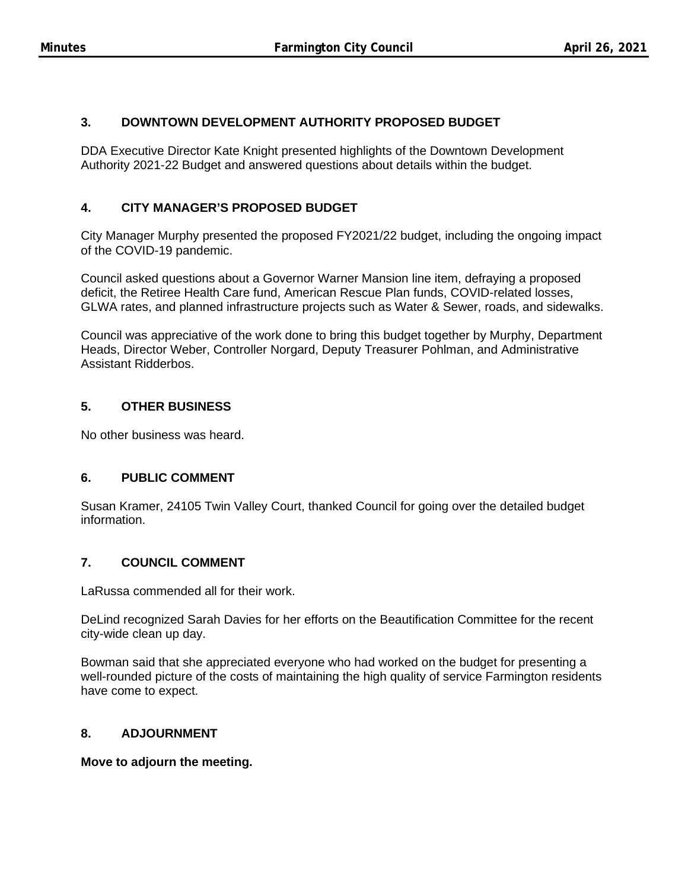## **3. DOWNTOWN DEVELOPMENT AUTHORITY PROPOSED BUDGET**

DDA Executive Director Kate Knight presented highlights of the Downtown Development Authority 2021-22 Budget and answered questions about details within the budget.

## **4. CITY MANAGER'S PROPOSED BUDGET**

City Manager Murphy presented the proposed FY2021/22 budget, including the ongoing impact of the COVID-19 pandemic.

Council asked questions about a Governor Warner Mansion line item, defraying a proposed deficit, the Retiree Health Care fund, American Rescue Plan funds, COVID-related losses, GLWA rates, and planned infrastructure projects such as Water & Sewer, roads, and sidewalks.

Council was appreciative of the work done to bring this budget together by Murphy, Department Heads, Director Weber, Controller Norgard, Deputy Treasurer Pohlman, and Administrative Assistant Ridderbos.

## **5. OTHER BUSINESS**

No other business was heard.

### **6. PUBLIC COMMENT**

Susan Kramer, 24105 Twin Valley Court, thanked Council for going over the detailed budget information.

### **7. COUNCIL COMMENT**

LaRussa commended all for their work.

DeLind recognized Sarah Davies for her efforts on the Beautification Committee for the recent city-wide clean up day.

Bowman said that she appreciated everyone who had worked on the budget for presenting a well-rounded picture of the costs of maintaining the high quality of service Farmington residents have come to expect.

### **8. ADJOURNMENT**

**Move to adjourn the meeting.**